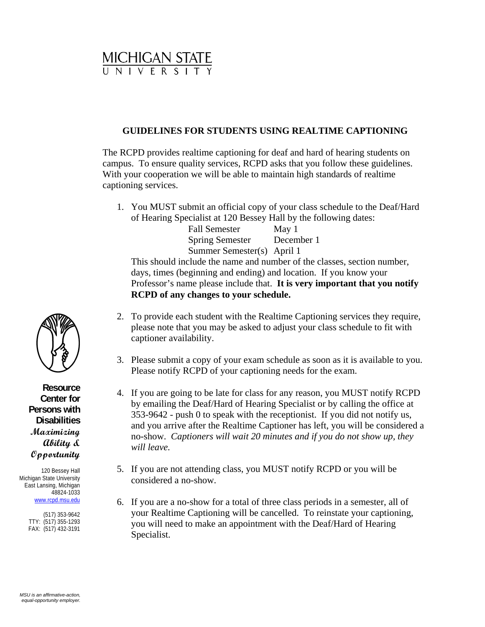

## **GUIDELINES FOR STUDENTS USING REALTIME CAPTIONING**

The RCPD provides realtime captioning for deaf and hard of hearing students on campus. To ensure quality services, RCPD asks that you follow these guidelines. With your cooperation we will be able to maintain high standards of realtime captioning services.

1. You MUST submit an official copy of your class schedule to the Deaf/Hard of Hearing Specialist at 120 Bessey Hall by the following dates:

Fall Semester May 1 Spring Semester December 1 Summer Semester(s) April 1 This should include the name and number of the classes, section number, days, times (beginning and ending) and location. If you know your Professor's name please include that. **It is very important that you notify RCPD of any changes to your schedule.** 

- 2. To provide each student with the Realtime Captioning services they require, please note that you may be asked to adjust your class schedule to fit with captioner availability.
- 3. Please submit a copy of your exam schedule as soon as it is available to you. Please notify RCPD of your captioning needs for the exam.
- 4. If you are going to be late for class for any reason, you MUST notify RCPD by emailing the Deaf/Hard of Hearing Specialist or by calling the office at 353-9642 - push 0 to speak with the receptionist. If you did not notify us, and you arrive after the Realtime Captioner has left, you will be considered a no-show. *Captioners will wait 20 minutes and if you do not show up, they will leave.*
- 5. If you are not attending class, you MUST notify RCPD or you will be considered a no-show.
- 6. If you are a no-show for a total of three class periods in a semester, all of your Realtime Captioning will be cancelled. To reinstate your captioning, you will need to make an appointment with the Deaf/Hard of Hearing Specialist.



**Resource Center for Persons with Disabilities Maximizing Ability & Opportunity**

120 Bessey Hall Michigan State University East Lansing, Michigan 48824-1033 [www.rcpd.msu.edu](http://www.rcpd.msu.edu/)

> (517) 353-9642 TTY: (517) 355-1293 FAX: (517) 432-3191